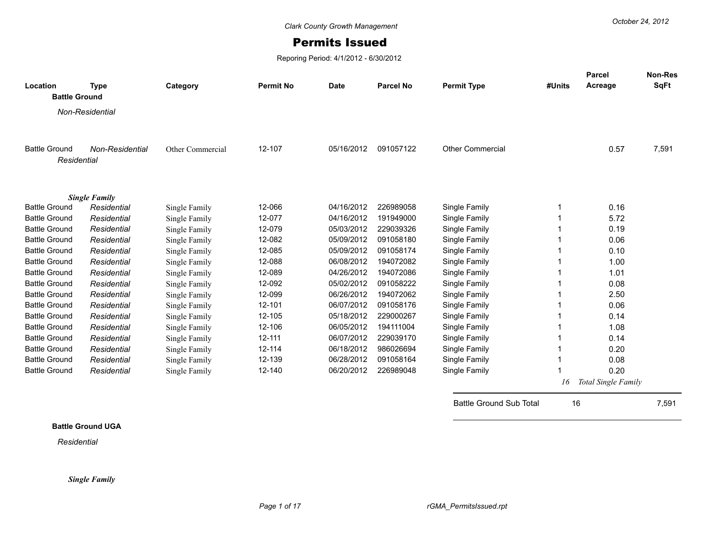## Permits Issued

Reporing Period: 4/1/2012 - 6/30/2012

| Location             | <b>Type</b>          | Category         | <b>Permit No</b> | <b>Date</b> | <b>Parcel No</b> | <b>Permit Type</b>             | #Units | Parcel<br>Acreage   | <b>Non-Res</b><br><b>SqFt</b> |
|----------------------|----------------------|------------------|------------------|-------------|------------------|--------------------------------|--------|---------------------|-------------------------------|
| <b>Battle Ground</b> |                      |                  |                  |             |                  |                                |        |                     |                               |
|                      | Non-Residential      |                  |                  |             |                  |                                |        |                     |                               |
|                      |                      |                  |                  |             |                  |                                |        |                     |                               |
| <b>Battle Ground</b> | Non-Residential      | Other Commercial | 12-107           | 05/16/2012  | 091057122        | <b>Other Commercial</b>        |        | 0.57                | 7,591                         |
| Residential          |                      |                  |                  |             |                  |                                |        |                     |                               |
|                      |                      |                  |                  |             |                  |                                |        |                     |                               |
|                      | <b>Single Family</b> |                  |                  |             |                  |                                |        |                     |                               |
| <b>Battle Ground</b> | Residential          | Single Family    | 12-066           | 04/16/2012  | 226989058        | Single Family                  |        | 0.16                |                               |
| <b>Battle Ground</b> | Residential          | Single Family    | 12-077           | 04/16/2012  | 191949000        | Single Family                  |        | 5.72                |                               |
| <b>Battle Ground</b> | Residential          | Single Family    | 12-079           | 05/03/2012  | 229039326        | Single Family                  |        | 0.19                |                               |
| <b>Battle Ground</b> | Residential          | Single Family    | 12-082           | 05/09/2012  | 091058180        | Single Family                  |        | 0.06                |                               |
| <b>Battle Ground</b> | Residential          | Single Family    | 12-085           | 05/09/2012  | 091058174        | Single Family                  |        | 0.10                |                               |
| <b>Battle Ground</b> | Residential          | Single Family    | 12-088           | 06/08/2012  | 194072082        | Single Family                  |        | 1.00                |                               |
| <b>Battle Ground</b> | Residential          | Single Family    | 12-089           | 04/26/2012  | 194072086        | Single Family                  |        | 1.01                |                               |
| <b>Battle Ground</b> | Residential          | Single Family    | 12-092           | 05/02/2012  | 091058222        | Single Family                  |        | 0.08                |                               |
| <b>Battle Ground</b> | Residential          | Single Family    | 12-099           | 06/26/2012  | 194072062        | Single Family                  |        | 2.50                |                               |
| <b>Battle Ground</b> | Residential          | Single Family    | 12-101           | 06/07/2012  | 091058176        | Single Family                  |        | 0.06                |                               |
| <b>Battle Ground</b> | Residential          | Single Family    | 12-105           | 05/18/2012  | 229000267        | Single Family                  |        | 0.14                |                               |
| <b>Battle Ground</b> | Residential          | Single Family    | 12-106           | 06/05/2012  | 194111004        | Single Family                  |        | 1.08                |                               |
| <b>Battle Ground</b> | Residential          | Single Family    | 12-111           | 06/07/2012  | 229039170        | Single Family                  |        | 0.14                |                               |
| <b>Battle Ground</b> | Residential          | Single Family    | 12-114           | 06/18/2012  | 986026694        | Single Family                  |        | 0.20                |                               |
| <b>Battle Ground</b> | Residential          | Single Family    | 12-139           | 06/28/2012  | 091058164        | Single Family                  |        | 0.08                |                               |
| <b>Battle Ground</b> | Residential          | Single Family    | 12-140           | 06/20/2012  | 226989048        | Single Family                  |        | 0.20                |                               |
|                      |                      |                  |                  |             |                  |                                | 16     | Total Single Family |                               |
|                      |                      |                  |                  |             |                  | <b>Battle Ground Sub Total</b> | 16     |                     | 7,591                         |

## **Battle Ground UGA**

*Residential*

*Single Family*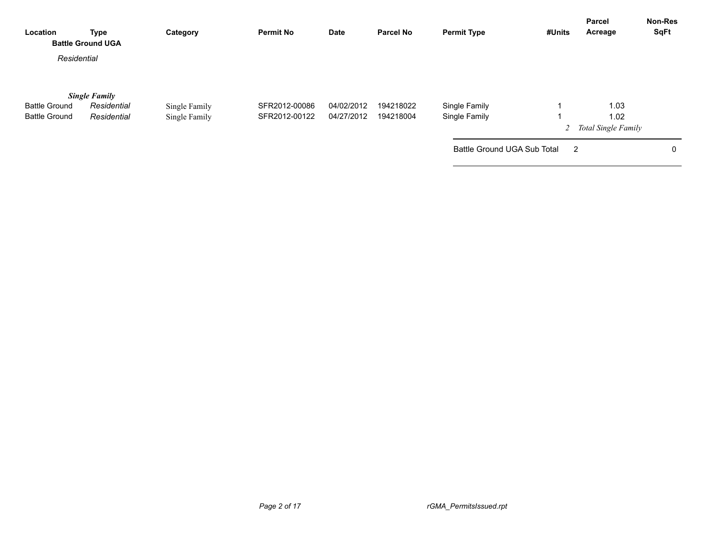| Location             | <b>Type</b><br><b>Battle Ground UGA</b> | Category      | <b>Permit No</b> | Date       | <b>Parcel No</b> | <b>Permit Type</b>          | #Units         | Parcel<br>Acreage             | <b>Non-Res</b><br><b>SqFt</b> |
|----------------------|-----------------------------------------|---------------|------------------|------------|------------------|-----------------------------|----------------|-------------------------------|-------------------------------|
| Residential          |                                         |               |                  |            |                  |                             |                |                               |                               |
| <b>Battle Ground</b> | <b>Single Family</b><br>Residential     | Single Family | SFR2012-00086    | 04/02/2012 | 194218022        | Single Family               |                | 1.03                          |                               |
| <b>Battle Ground</b> | Residential                             | Single Family | SFR2012-00122    | 04/27/2012 | 194218004        | Single Family               |                | 1.02<br>2 Total Single Family |                               |
|                      |                                         |               |                  |            |                  | Battle Ground UGA Sub Total | $\overline{2}$ |                               | 0                             |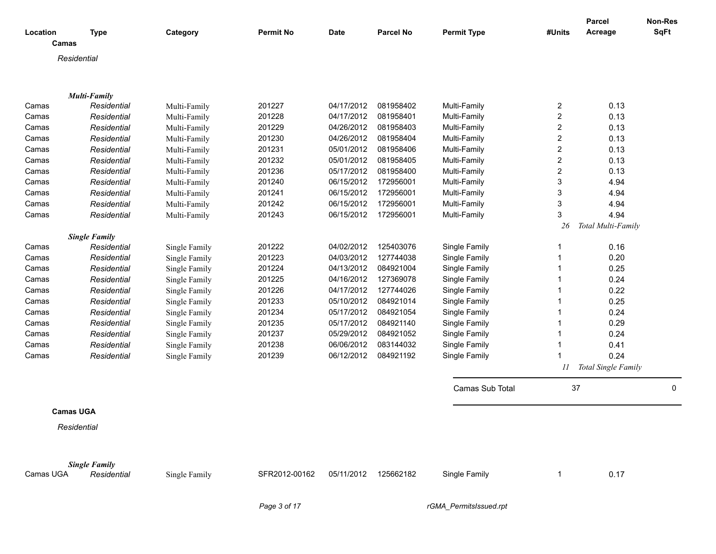| Location         | <b>Type</b>                         | Category                       | <b>Permit No</b> | <b>Date</b> | <b>Parcel No</b> | <b>Permit Type</b> | #Units | Parcel<br>Acreage   | <b>Non-Res</b><br><b>SqFt</b> |
|------------------|-------------------------------------|--------------------------------|------------------|-------------|------------------|--------------------|--------|---------------------|-------------------------------|
| Camas            |                                     |                                |                  |             |                  |                    |        |                     |                               |
| Residential      |                                     |                                |                  |             |                  |                    |        |                     |                               |
|                  |                                     |                                |                  |             |                  |                    |        |                     |                               |
|                  |                                     |                                |                  |             |                  |                    |        |                     |                               |
|                  | <b>Multi-Family</b>                 |                                |                  |             |                  |                    |        |                     |                               |
| Camas            | Residential                         | Multi-Family                   | 201227           | 04/17/2012  | 081958402        | Multi-Family       | 2      | 0.13                |                               |
| Camas            | Residential                         | Multi-Family                   | 201228           | 04/17/2012  | 081958401        | Multi-Family       | 2      | 0.13                |                               |
| Camas            | Residential                         | Multi-Family                   | 201229           | 04/26/2012  | 081958403        | Multi-Family       | 2      | 0.13                |                               |
| Camas            | Residential                         | Multi-Family                   | 201230           | 04/26/2012  | 081958404        | Multi-Family       | 2      | 0.13                |                               |
| Camas            | Residential                         | Multi-Family                   | 201231           | 05/01/2012  | 081958406        | Multi-Family       | 2      | 0.13                |                               |
| Camas            | Residential                         | Multi-Family                   | 201232           | 05/01/2012  | 081958405        | Multi-Family       | 2      | 0.13                |                               |
| Camas            | Residential                         | Multi-Family                   | 201236           | 05/17/2012  | 081958400        | Multi-Family       | 2      | 0.13                |                               |
| Camas            | Residential                         | Multi-Family                   | 201240           | 06/15/2012  | 172956001        | Multi-Family       | 3      | 4.94                |                               |
| Camas            | Residential                         | Multi-Family                   | 201241           | 06/15/2012  | 172956001        | Multi-Family       | 3      | 4.94                |                               |
| Camas            | Residential                         | Multi-Family                   | 201242           | 06/15/2012  | 172956001        | Multi-Family       | 3      | 4.94                |                               |
| Camas            | Residential                         | Multi-Family                   | 201243           | 06/15/2012  | 172956001        | Multi-Family       | 3      | 4.94                |                               |
|                  |                                     |                                |                  |             |                  |                    | 26     | Total Multi-Family  |                               |
| Camas            | <b>Single Family</b><br>Residential |                                | 201222           | 04/02/2012  | 125403076        | Single Family      | 1      | 0.16                |                               |
| Camas            | Residential                         | Single Family<br>Single Family | 201223           | 04/03/2012  | 127744038        | Single Family      | 1      | 0.20                |                               |
| Camas            | Residential                         | Single Family                  | 201224           | 04/13/2012  | 084921004        | Single Family      | 1      | 0.25                |                               |
| Camas            | Residential                         | Single Family                  | 201225           | 04/16/2012  | 127369078        | Single Family      | 1      | 0.24                |                               |
| Camas            | Residential                         |                                | 201226           | 04/17/2012  | 127744026        | Single Family      | 1      | 0.22                |                               |
| Camas            | Residential                         | Single Family                  | 201233           | 05/10/2012  | 084921014        | Single Family      | 1      | 0.25                |                               |
| Camas            | Residential                         | Single Family                  | 201234           | 05/17/2012  | 084921054        | Single Family      | 1      | 0.24                |                               |
| Camas            | Residential                         | Single Family                  | 201235           | 05/17/2012  | 084921140        | Single Family      | 1      | 0.29                |                               |
| Camas            |                                     | Single Family                  | 201237           | 05/29/2012  | 084921052        | Single Family      | 1      | 0.24                |                               |
|                  | Residential                         | Single Family                  | 201238           | 06/06/2012  | 083144032        |                    |        | 0.41                |                               |
| Camas            | Residential                         | Single Family                  | 201239           | 06/12/2012  | 084921192        | Single Family      |        | 0.24                |                               |
| Camas            | Residential                         | Single Family                  |                  |             |                  | Single Family      |        |                     |                               |
|                  |                                     |                                |                  |             |                  |                    | 11     | Total Single Family |                               |
|                  |                                     |                                |                  |             |                  | Camas Sub Total    | 37     |                     | 0                             |
| <b>Camas UGA</b> |                                     |                                |                  |             |                  |                    |        |                     |                               |
|                  |                                     |                                |                  |             |                  |                    |        |                     |                               |
| Residential      |                                     |                                |                  |             |                  |                    |        |                     |                               |
|                  |                                     |                                |                  |             |                  |                    |        |                     |                               |
| Camas UGA        | <b>Single Family</b><br>Residential | Single Family                  | SFR2012-00162    | 05/11/2012  | 125662182        | Single Family      |        | 0.17                |                               |
|                  |                                     |                                |                  |             |                  |                    |        |                     |                               |

*Page 3 of 17 rGMA\_PermitsIssued.rpt*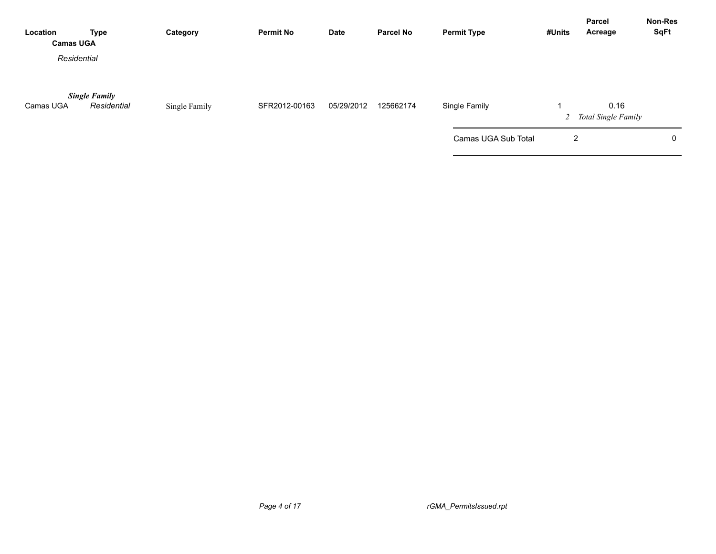| Location<br><b>Camas UGA</b> | <b>Type</b>                         | Category      | <b>Permit No</b> | Date       | <b>Parcel No</b> | <b>Permit Type</b>  | #Units | Parcel<br>Acreage             | <b>Non-Res</b><br><b>SqFt</b> |
|------------------------------|-------------------------------------|---------------|------------------|------------|------------------|---------------------|--------|-------------------------------|-------------------------------|
| Residential                  |                                     |               |                  |            |                  |                     |        |                               |                               |
| Camas UGA                    | <b>Single Family</b><br>Residential | Single Family | SFR2012-00163    | 05/29/2012 | 125662174        | Single Family       |        | 0.16<br>2 Total Single Family |                               |
|                              |                                     |               |                  |            |                  | Camas UGA Sub Total | 2      |                               | 0                             |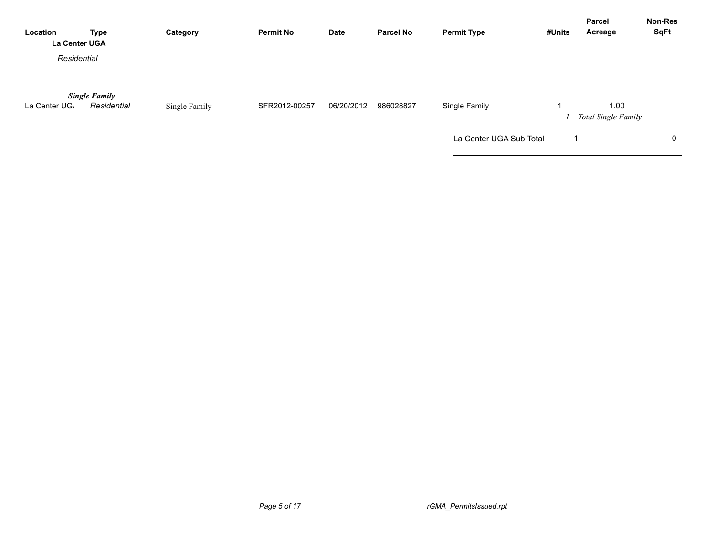| Location<br>La Center UGA | <b>Type</b>                         | Category      | <b>Permit No</b> | <b>Date</b> | <b>Parcel No</b> | <b>Permit Type</b>      | #Units | <b>Parcel</b><br>Acreage           | Non-Res<br><b>SqFt</b> |
|---------------------------|-------------------------------------|---------------|------------------|-------------|------------------|-------------------------|--------|------------------------------------|------------------------|
| Residential               |                                     |               |                  |             |                  |                         |        |                                    |                        |
| La Center UG <sub>/</sub> | <b>Single Family</b><br>Residential | Single Family | SFR2012-00257    | 06/20/2012  | 986028827        | Single Family           |        | 1.00<br><b>Total Single Family</b> |                        |
|                           |                                     |               |                  |             |                  | La Center UGA Sub Total |        |                                    | 0                      |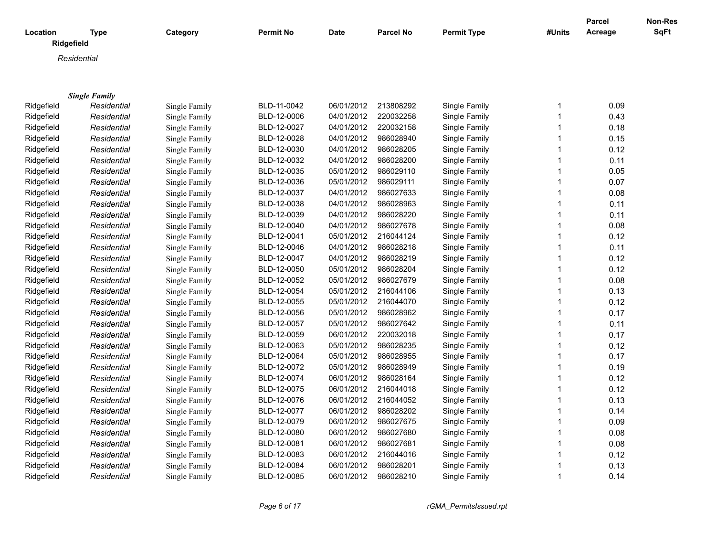|            |                           |                      |                  |             |                  |                    |              | Parcel  | Non-Res     |
|------------|---------------------------|----------------------|------------------|-------------|------------------|--------------------|--------------|---------|-------------|
| Location   | <b>Type</b><br>Ridgefield | Category             | <b>Permit No</b> | <b>Date</b> | <b>Parcel No</b> | <b>Permit Type</b> | #Units       | Acreage | <b>SqFt</b> |
|            | Residential               |                      |                  |             |                  |                    |              |         |             |
|            |                           |                      |                  |             |                  |                    |              |         |             |
|            |                           |                      |                  |             |                  |                    |              |         |             |
|            | <b>Single Family</b>      |                      |                  |             |                  |                    |              |         |             |
| Ridgefield | Residential               | Single Family        | BLD-11-0042      | 06/01/2012  | 213808292        | Single Family      | 1            | 0.09    |             |
| Ridgefield | Residential               | <b>Single Family</b> | BLD-12-0006      | 04/01/2012  | 220032258        | Single Family      | 1            | 0.43    |             |
| Ridgefield | Residential               | Single Family        | BLD-12-0027      | 04/01/2012  | 220032158        | Single Family      | 1            | 0.18    |             |
| Ridgefield | Residential               | Single Family        | BLD-12-0028      | 04/01/2012  | 986028940        | Single Family      | 1            | 0.15    |             |
| Ridgefield | Residential               | Single Family        | BLD-12-0030      | 04/01/2012  | 986028205        | Single Family      | 1            | 0.12    |             |
| Ridgefield | Residential               | Single Family        | BLD-12-0032      | 04/01/2012  | 986028200        | Single Family      | 1            | 0.11    |             |
| Ridgefield | Residential               | Single Family        | BLD-12-0035      | 05/01/2012  | 986029110        | Single Family      | 1            | 0.05    |             |
| Ridgefield | Residential               | Single Family        | BLD-12-0036      | 05/01/2012  | 986029111        | Single Family      | 1            | 0.07    |             |
| Ridgefield | Residential               | Single Family        | BLD-12-0037      | 04/01/2012  | 986027633        | Single Family      | 1            | 0.08    |             |
| Ridgefield | Residential               | Single Family        | BLD-12-0038      | 04/01/2012  | 986028963        | Single Family      | 1            | 0.11    |             |
| Ridgefield | Residential               | Single Family        | BLD-12-0039      | 04/01/2012  | 986028220        | Single Family      | 1            | 0.11    |             |
| Ridgefield | Residential               | Single Family        | BLD-12-0040      | 04/01/2012  | 986027678        | Single Family      | 1            | 0.08    |             |
| Ridgefield | Residential               | Single Family        | BLD-12-0041      | 05/01/2012  | 216044124        | Single Family      | 1            | 0.12    |             |
| Ridgefield | Residential               | Single Family        | BLD-12-0046      | 04/01/2012  | 986028218        | Single Family      | 1            | 0.11    |             |
| Ridgefield | Residential               | Single Family        | BLD-12-0047      | 04/01/2012  | 986028219        | Single Family      | 1            | 0.12    |             |
| Ridgefield | Residential               | Single Family        | BLD-12-0050      | 05/01/2012  | 986028204        | Single Family      | 1            | 0.12    |             |
| Ridgefield | Residential               | Single Family        | BLD-12-0052      | 05/01/2012  | 986027679        | Single Family      | 1            | 0.08    |             |
| Ridgefield | Residential               | Single Family        | BLD-12-0054      | 05/01/2012  | 216044106        | Single Family      | 1            | 0.13    |             |
| Ridgefield | Residential               | Single Family        | BLD-12-0055      | 05/01/2012  | 216044070        | Single Family      | 1            | 0.12    |             |
| Ridgefield | Residential               | Single Family        | BLD-12-0056      | 05/01/2012  | 986028962        | Single Family      | 1            | 0.17    |             |
| Ridgefield | Residential               | Single Family        | BLD-12-0057      | 05/01/2012  | 986027642        | Single Family      | 1            | 0.11    |             |
| Ridgefield | Residential               | Single Family        | BLD-12-0059      | 06/01/2012  | 220032018        | Single Family      | 1            | 0.17    |             |
| Ridgefield | Residential               | Single Family        | BLD-12-0063      | 05/01/2012  | 986028235        | Single Family      | 1            | 0.12    |             |
| Ridgefield | Residential               | Single Family        | BLD-12-0064      | 05/01/2012  | 986028955        | Single Family      | 1            | 0.17    |             |
| Ridgefield | Residential               | Single Family        | BLD-12-0072      | 05/01/2012  | 986028949        | Single Family      | $\mathbf{1}$ | 0.19    |             |
| Ridgefield | Residential               | Single Family        | BLD-12-0074      | 06/01/2012  | 986028164        | Single Family      | 1            | 0.12    |             |
| Ridgefield | Residential               | Single Family        | BLD-12-0075      | 06/01/2012  | 216044018        | Single Family      | $\mathbf{1}$ | 0.12    |             |
| Ridgefield | Residential               | Single Family        | BLD-12-0076      | 06/01/2012  | 216044052        | Single Family      | 1            | 0.13    |             |
| Ridgefield | Residential               | Single Family        | BLD-12-0077      | 06/01/2012  | 986028202        | Single Family      | 1            | 0.14    |             |
| Ridgefield | Residential               | Single Family        | BLD-12-0079      | 06/01/2012  | 986027675        | Single Family      | 1            | 0.09    |             |
| Ridgefield | Residential               | Single Family        | BLD-12-0080      | 06/01/2012  | 986027680        | Single Family      | 1            | 0.08    |             |
| Ridgefield | Residential               | Single Family        | BLD-12-0081      | 06/01/2012  | 986027681        | Single Family      | 1            | 0.08    |             |
| Ridgefield | Residential               | Single Family        | BLD-12-0083      | 06/01/2012  | 216044016        | Single Family      | 1            | 0.12    |             |
| Ridgefield | Residential               | Single Family        | BLD-12-0084      | 06/01/2012  | 986028201        | Single Family      | 1            | 0.13    |             |
| Ridgefield | Residential               | Single Family        | BLD-12-0085      | 06/01/2012  | 986028210        | Single Family      | 1            | 0.14    |             |

*Page 6 of 17 rGMA\_PermitsIssued.rpt*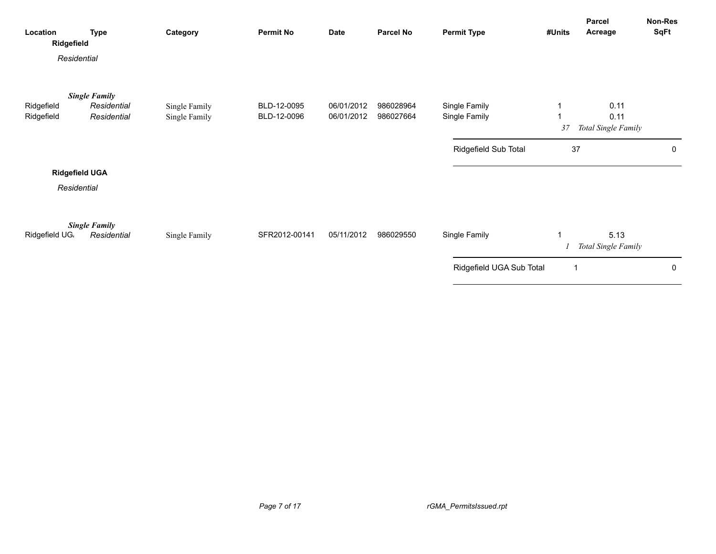| Location<br>Ridgefield | <b>Type</b>                         | Category      | <b>Permit No</b> | <b>Date</b> | <b>Parcel No</b> | <b>Permit Type</b>       | #Units | Parcel<br>Acreage           | Non-Res<br>SqFt |
|------------------------|-------------------------------------|---------------|------------------|-------------|------------------|--------------------------|--------|-----------------------------|-----------------|
| Residential            |                                     |               |                  |             |                  |                          |        |                             |                 |
| Ridgefield             | <b>Single Family</b><br>Residential | Single Family | BLD-12-0095      | 06/01/2012  | 986028964        | Single Family            |        | 0.11                        |                 |
| Ridgefield             | Residential                         | Single Family | BLD-12-0096      | 06/01/2012  | 986027664        | Single Family            | 37     | 0.11<br>Total Single Family |                 |
|                        |                                     |               |                  |             |                  | Ridgefield Sub Total     | 37     |                             | 0               |
| <b>Ridgefield UGA</b>  |                                     |               |                  |             |                  |                          |        |                             |                 |
| Residential            |                                     |               |                  |             |                  |                          |        |                             |                 |
| Ridgefield UG.         | <b>Single Family</b><br>Residential | Single Family | SFR2012-00141    | 05/11/2012  | 986029550        | Single Family            |        | 5.13<br>Total Single Family |                 |
|                        |                                     |               |                  |             |                  | Ridgefield UGA Sub Total | -1     |                             | $\mathbf 0$     |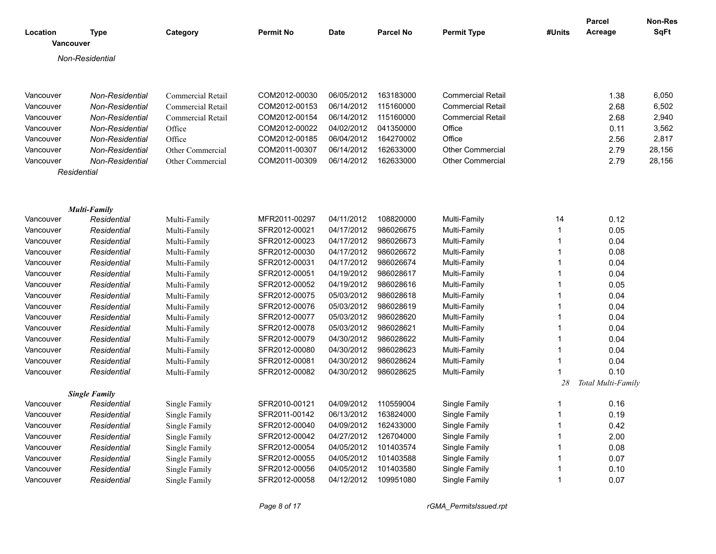| Location  | Type                                | Category                       | <b>Permit No</b> | <b>Date</b> | <b>Parcel No</b> | <b>Permit Type</b>       | #Units      | <b>Parcel</b><br>Acreage | <b>Non-Res</b><br><b>SqFt</b> |
|-----------|-------------------------------------|--------------------------------|------------------|-------------|------------------|--------------------------|-------------|--------------------------|-------------------------------|
|           | <b>Vancouver</b>                    |                                |                  |             |                  |                          |             |                          |                               |
|           | Non-Residential                     |                                |                  |             |                  |                          |             |                          |                               |
| Vancouver | Non-Residential                     | Commercial Retail              | COM2012-00030    | 06/05/2012  | 163183000        | <b>Commercial Retail</b> |             | 1.38                     | 6,050                         |
| Vancouver | Non-Residential                     | Commercial Retail              | COM2012-00153    | 06/14/2012  | 115160000        | <b>Commercial Retail</b> |             | 2.68                     | 6,502                         |
| Vancouver | Non-Residential                     | Commercial Retail              | COM2012-00154    | 06/14/2012  | 115160000        | <b>Commercial Retail</b> |             | 2.68                     | 2,940                         |
| Vancouver | Non-Residential                     | Office                         | COM2012-00022    | 04/02/2012  | 041350000        | Office                   |             | 0.11                     | 3,562                         |
| Vancouver | Non-Residential                     | Office                         | COM2012-00185    | 06/04/2012  | 164270002        | Office                   |             | 2.56                     | 2,817                         |
| Vancouver | Non-Residential                     | Other Commercial               | COM2011-00307    | 06/14/2012  | 162633000        | <b>Other Commercial</b>  |             | 2.79                     | 28,156                        |
| Vancouver | Non-Residential                     | Other Commercial               | COM2011-00309    | 06/14/2012  | 162633000        | Other Commercial         |             | 2.79                     | 28,156                        |
|           | Residential                         |                                |                  |             |                  |                          |             |                          |                               |
|           |                                     |                                |                  |             |                  |                          |             |                          |                               |
|           | <b>Multi-Family</b>                 |                                |                  |             |                  |                          |             |                          |                               |
| Vancouver | Residential                         | Multi-Family                   | MFR2011-00297    | 04/11/2012  | 108820000        | Multi-Family             | 14          | 0.12                     |                               |
| Vancouver | Residential                         | Multi-Family                   | SFR2012-00021    | 04/17/2012  | 986026675        | Multi-Family             | $\mathbf 1$ | 0.05                     |                               |
| Vancouver | Residential                         | Multi-Family                   | SFR2012-00023    | 04/17/2012  | 986026673        | Multi-Family             | 1           | 0.04                     |                               |
| Vancouver | Residential                         | Multi-Family                   | SFR2012-00030    | 04/17/2012  | 986026672        | Multi-Family             |             | 0.08                     |                               |
| Vancouver | Residential                         | Multi-Family                   | SFR2012-00031    | 04/17/2012  | 986026674        | Multi-Family             | 1           | 0.04                     |                               |
| Vancouver | Residential                         | Multi-Family                   | SFR2012-00051    | 04/19/2012  | 986028617        | Multi-Family             | 1           | 0.04                     |                               |
| Vancouver | Residential                         | Multi-Family                   | SFR2012-00052    | 04/19/2012  | 986028616        | Multi-Family             |             | 0.05                     |                               |
| Vancouver | Residential                         | Multi-Family                   | SFR2012-00075    | 05/03/2012  | 986028618        | Multi-Family             |             | 0.04                     |                               |
| Vancouver | Residential                         | Multi-Family                   | SFR2012-00076    | 05/03/2012  | 986028619        | Multi-Family             |             | 0.04                     |                               |
| Vancouver | Residential                         | Multi-Family                   | SFR2012-00077    | 05/03/2012  | 986028620        | Multi-Family             |             | 0.04                     |                               |
| Vancouver | Residential                         | Multi-Family                   | SFR2012-00078    | 05/03/2012  | 986028621        | Multi-Family             | 1           | 0.04                     |                               |
| Vancouver | Residential                         | Multi-Family                   | SFR2012-00079    | 04/30/2012  | 986028622        | Multi-Family             | 1           | 0.04                     |                               |
| Vancouver | Residential                         | Multi-Family                   | SFR2012-00080    | 04/30/2012  | 986028623        | Multi-Family             | 1           | 0.04                     |                               |
| Vancouver | Residential                         | Multi-Family                   | SFR2012-00081    | 04/30/2012  | 986028624        | Multi-Family             | 1           | 0.04                     |                               |
| Vancouver | Residential                         | Multi-Family                   | SFR2012-00082    | 04/30/2012  | 986028625        | Multi-Family             | 1           | 0.10                     |                               |
|           |                                     |                                |                  |             |                  |                          | 28          | Total Multi-Family       |                               |
| Vancouver | <b>Single Family</b><br>Residential | Single Family                  | SFR2010-00121    | 04/09/2012  | 110559004        | Single Family            | -1          | 0.16                     |                               |
| Vancouver | Residential                         |                                | SFR2011-00142    | 06/13/2012  | 163824000        | Single Family            | $\mathbf 1$ | 0.19                     |                               |
| Vancouver |                                     | Single Family                  | SFR2012-00040    | 04/09/2012  | 162433000        | Single Family            | 1           | 0.42                     |                               |
| Vancouver | Residential<br>Residential          | Single Family<br>Single Family | SFR2012-00042    | 04/27/2012  | 126704000        | Single Family            |             | 2.00                     |                               |
| Vancouver | Residential                         |                                | SFR2012-00054    | 04/05/2012  | 101403574        | Single Family            |             | 0.08                     |                               |
| Vancouver |                                     | Single Family                  | SFR2012-00055    | 04/05/2012  | 101403588        | Single Family            |             | 0.07                     |                               |
| Vancouver | Residential<br>Residential          | Single Family<br>Single Family | SFR2012-00056    | 04/05/2012  | 101403580        | Single Family            |             | 0.10                     |                               |
| Vancouver | Residential                         |                                | SFR2012-00058    | 04/12/2012  | 109951080        | Single Family            | 1           | 0.07                     |                               |
|           |                                     | Single Family                  |                  |             |                  |                          |             |                          |                               |

*Page 8 of 17 rGMA\_PermitsIssued.rpt*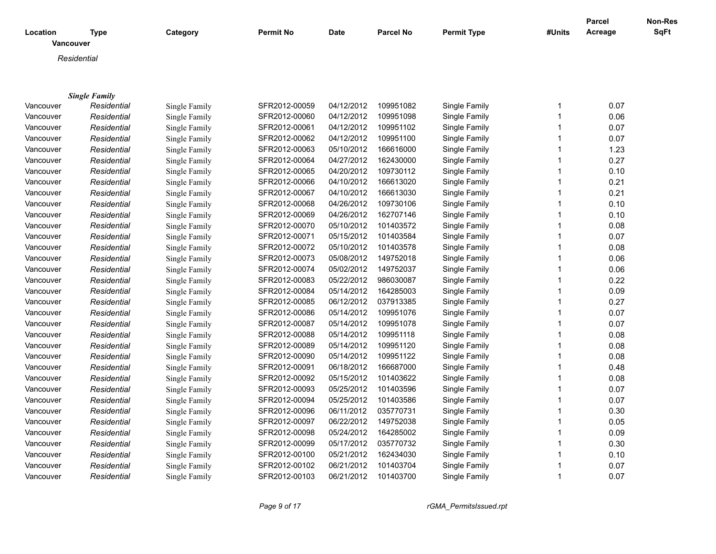|                       |                      |               |               |             |                  |                    |              | <b>Parcel</b> | <b>Non-Res</b> |
|-----------------------|----------------------|---------------|---------------|-------------|------------------|--------------------|--------------|---------------|----------------|
| Location<br>Vancouver | <b>Type</b>          | Category      | Permit No     | <b>Date</b> | <b>Parcel No</b> | <b>Permit Type</b> | #Units       | Acreage       | <b>SqFt</b>    |
| Residential           |                      |               |               |             |                  |                    |              |               |                |
|                       |                      |               |               |             |                  |                    |              |               |                |
|                       |                      |               |               |             |                  |                    |              |               |                |
|                       | <b>Single Family</b> |               |               |             |                  |                    |              |               |                |
| Vancouver             | Residential          | Single Family | SFR2012-00059 | 04/12/2012  | 109951082        | Single Family      | 1            | 0.07          |                |
| Vancouver             | Residential          | Single Family | SFR2012-00060 | 04/12/2012  | 109951098        | Single Family      | $\mathbf{1}$ | 0.06          |                |
| Vancouver             | Residential          | Single Family | SFR2012-00061 | 04/12/2012  | 109951102        | Single Family      | $\mathbf{1}$ | 0.07          |                |
| Vancouver             | Residential          | Single Family | SFR2012-00062 | 04/12/2012  | 109951100        | Single Family      | $\mathbf{1}$ | 0.07          |                |
| Vancouver             | Residential          | Single Family | SFR2012-00063 | 05/10/2012  | 166616000        | Single Family      | $\mathbf{1}$ | 1.23          |                |
| Vancouver             | Residential          | Single Family | SFR2012-00064 | 04/27/2012  | 162430000        | Single Family      | $\mathbf{1}$ | 0.27          |                |
| Vancouver             | Residential          | Single Family | SFR2012-00065 | 04/20/2012  | 109730112        | Single Family      | $\mathbf{1}$ | 0.10          |                |
| Vancouver             | Residential          | Single Family | SFR2012-00066 | 04/10/2012  | 166613020        | Single Family      | $\mathbf{1}$ | 0.21          |                |
| Vancouver             | Residential          | Single Family | SFR2012-00067 | 04/10/2012  | 166613030        | Single Family      | $\mathbf{1}$ | 0.21          |                |
| Vancouver             | Residential          | Single Family | SFR2012-00068 | 04/26/2012  | 109730106        | Single Family      | $\mathbf{1}$ | 0.10          |                |
| Vancouver             | Residential          | Single Family | SFR2012-00069 | 04/26/2012  | 162707146        | Single Family      | $\mathbf{1}$ | 0.10          |                |
| Vancouver             | Residential          | Single Family | SFR2012-00070 | 05/10/2012  | 101403572        | Single Family      | $\mathbf{1}$ | 0.08          |                |
| Vancouver             | Residential          | Single Family | SFR2012-00071 | 05/15/2012  | 101403584        | Single Family      | $\mathbf{1}$ | 0.07          |                |
| Vancouver             | Residential          | Single Family | SFR2012-00072 | 05/10/2012  | 101403578        | Single Family      | $\mathbf{1}$ | 0.08          |                |
| Vancouver             | Residential          | Single Family | SFR2012-00073 | 05/08/2012  | 149752018        | Single Family      | $\mathbf{1}$ | 0.06          |                |
| Vancouver             | Residential          | Single Family | SFR2012-00074 | 05/02/2012  | 149752037        | Single Family      | $\mathbf{1}$ | 0.06          |                |
| Vancouver             | Residential          | Single Family | SFR2012-00083 | 05/22/2012  | 986030087        | Single Family      | $\mathbf{1}$ | 0.22          |                |
| Vancouver             | Residential          | Single Family | SFR2012-00084 | 05/14/2012  | 164285003        | Single Family      | $\mathbf{1}$ | 0.09          |                |
| Vancouver             | Residential          | Single Family | SFR2012-00085 | 06/12/2012  | 037913385        | Single Family      | $\mathbf{1}$ | 0.27          |                |
| Vancouver             | Residential          | Single Family | SFR2012-00086 | 05/14/2012  | 109951076        | Single Family      | $\mathbf{1}$ | 0.07          |                |
| Vancouver             | Residential          | Single Family | SFR2012-00087 | 05/14/2012  | 109951078        | Single Family      | $\mathbf{1}$ | 0.07          |                |
| Vancouver             | Residential          | Single Family | SFR2012-00088 | 05/14/2012  | 109951118        | Single Family      | $\mathbf{1}$ | 0.08          |                |
| Vancouver             | Residential          | Single Family | SFR2012-00089 | 05/14/2012  | 109951120        | Single Family      | $\mathbf{1}$ | 0.08          |                |
| Vancouver             | Residential          | Single Family | SFR2012-00090 | 05/14/2012  | 109951122        | Single Family      | $\mathbf{1}$ | 0.08          |                |
| Vancouver             | Residential          | Single Family | SFR2012-00091 | 06/18/2012  | 166687000        | Single Family      | $\mathbf{1}$ | 0.48          |                |
| Vancouver             | Residential          | Single Family | SFR2012-00092 | 05/15/2012  | 101403622        | Single Family      | $\mathbf{1}$ | 0.08          |                |
| Vancouver             | Residential          | Single Family | SFR2012-00093 | 05/25/2012  | 101403596        | Single Family      | $\mathbf{1}$ | 0.07          |                |
| Vancouver             | Residential          | Single Family | SFR2012-00094 | 05/25/2012  | 101403586        | Single Family      | $\mathbf{1}$ | 0.07          |                |
| Vancouver             | Residential          | Single Family | SFR2012-00096 | 06/11/2012  | 035770731        | Single Family      | $\mathbf{1}$ | 0.30          |                |
| Vancouver             | Residential          | Single Family | SFR2012-00097 | 06/22/2012  | 149752038        | Single Family      | $\mathbf{1}$ | 0.05          |                |
| Vancouver             | Residential          | Single Family | SFR2012-00098 | 05/24/2012  | 164285002        | Single Family      | $\mathbf{1}$ | 0.09          |                |
| Vancouver             | Residential          | Single Family | SFR2012-00099 | 05/17/2012  | 035770732        | Single Family      | $\mathbf{1}$ | 0.30          |                |
| Vancouver             | Residential          | Single Family | SFR2012-00100 | 05/21/2012  | 162434030        | Single Family      | $\mathbf{1}$ | 0.10          |                |
| Vancouver             | Residential          | Single Family | SFR2012-00102 | 06/21/2012  | 101403704        | Single Family      | $\mathbf 1$  | 0.07          |                |
| Vancouver             | Residential          | Single Family | SFR2012-00103 | 06/21/2012  | 101403700        | Single Family      | $\mathbf{1}$ | 0.07          |                |

*Page 9 of 17 rGMA\_PermitsIssued.rpt*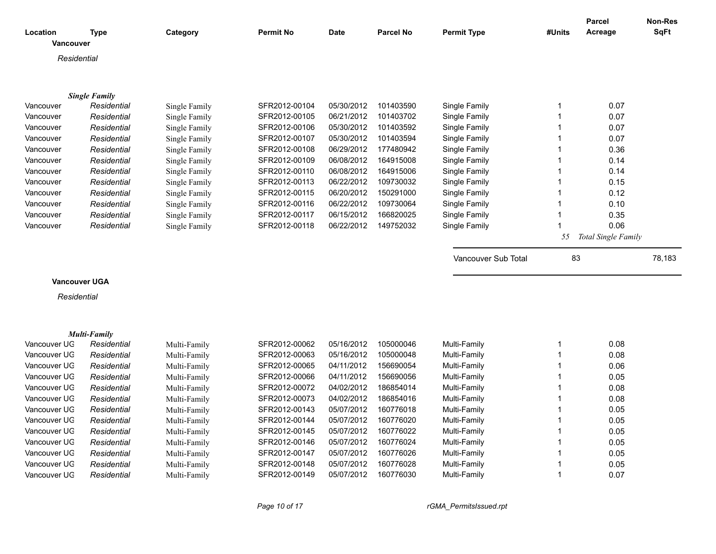|                              |                            |                              |                                |                          |                        |                              |              | <b>Parcel</b>       | <b>Non-Res</b> |
|------------------------------|----------------------------|------------------------------|--------------------------------|--------------------------|------------------------|------------------------------|--------------|---------------------|----------------|
| Location                     | <b>Type</b>                | Category                     | <b>Permit No</b>               | <b>Date</b>              | <b>Parcel No</b>       | <b>Permit Type</b>           | #Units       | Acreage             | <b>SqFt</b>    |
| Vancouver                    |                            |                              |                                |                          |                        |                              |              |                     |                |
| Residential                  |                            |                              |                                |                          |                        |                              |              |                     |                |
|                              |                            |                              |                                |                          |                        |                              |              |                     |                |
|                              |                            |                              |                                |                          |                        |                              |              |                     |                |
|                              | <b>Single Family</b>       |                              |                                |                          |                        |                              |              |                     |                |
| Vancouver                    | Residential                | Single Family                | SFR2012-00104                  | 05/30/2012               | 101403590              | Single Family                | 1            | 0.07                |                |
| Vancouver                    | Residential                | Single Family                | SFR2012-00105                  | 06/21/2012               | 101403702              | Single Family                | 1            | 0.07                |                |
| Vancouver                    | Residential                | Single Family                | SFR2012-00106                  | 05/30/2012               | 101403592              | Single Family                | $\mathbf{1}$ | 0.07                |                |
| Vancouver                    | Residential                | Single Family                | SFR2012-00107                  | 05/30/2012               | 101403594              | Single Family                | $\mathbf 1$  | 0.07                |                |
| Vancouver                    | Residential                | Single Family                | SFR2012-00108                  | 06/29/2012               | 177480942              | Single Family                | 1            | 0.36                |                |
| Vancouver                    | Residential                | Single Family                | SFR2012-00109                  | 06/08/2012               | 164915008              | Single Family                | $\mathbf 1$  | 0.14                |                |
| Vancouver                    | Residential                | Single Family                | SFR2012-00110                  | 06/08/2012               | 164915006              | Single Family                | 1            | 0.14                |                |
| Vancouver                    | Residential                | Single Family                | SFR2012-00113                  | 06/22/2012               | 109730032              | Single Family                | $\mathbf 1$  | 0.15                |                |
| Vancouver                    | Residential                | Single Family                | SFR2012-00115                  | 06/20/2012               | 150291000              | Single Family                | 1            | 0.12                |                |
| Vancouver                    | Residential                | Single Family                | SFR2012-00116                  | 06/22/2012               | 109730064              | Single Family                | 1            | 0.10                |                |
| Vancouver                    | Residential                | Single Family                | SFR2012-00117                  | 06/15/2012               | 166820025              | Single Family                | 1            | 0.35                |                |
| Vancouver                    | Residential                | Single Family                | SFR2012-00118                  | 06/22/2012               | 149752032              | Single Family                | 1            | 0.06                |                |
|                              |                            |                              |                                |                          |                        |                              | 55           | Total Single Family |                |
|                              |                            |                              |                                |                          |                        |                              |              |                     |                |
|                              |                            |                              |                                |                          |                        | Vancouver Sub Total          | 83           |                     | 78,183         |
| <b>Vancouver UGA</b>         |                            |                              |                                |                          |                        |                              |              |                     |                |
|                              |                            |                              |                                |                          |                        |                              |              |                     |                |
| Residential                  |                            |                              |                                |                          |                        |                              |              |                     |                |
|                              |                            |                              |                                |                          |                        |                              |              |                     |                |
|                              | <b>Multi-Family</b>        |                              |                                |                          |                        |                              |              |                     |                |
| Vancouver UG                 | Residential                |                              |                                |                          |                        |                              |              |                     |                |
| Vancouver UG                 |                            |                              | SFR2012-00062                  | 05/16/2012               | 105000046              |                              | 1            |                     |                |
|                              |                            | Multi-Family                 |                                |                          |                        | Multi-Family                 | 1            | 0.08                |                |
| Vancouver UG                 | Residential                | Multi-Family                 | SFR2012-00063<br>SFR2012-00065 | 05/16/2012<br>04/11/2012 | 105000048<br>156690054 | Multi-Family                 | $\mathbf 1$  | 0.08                |                |
| Vancouver UG                 | Residential<br>Residential | Multi-Family                 | SFR2012-00066                  | 04/11/2012               | 156690056              | Multi-Family                 | $\mathbf 1$  | 0.06                |                |
|                              |                            | Multi-Family                 |                                | 04/02/2012               |                        | Multi-Family                 | 1            | 0.05                |                |
| Vancouver UG                 | Residential                | Multi-Family                 | SFR2012-00072                  |                          | 186854014              | Multi-Family                 | $\mathbf{1}$ | 0.08                |                |
| Vancouver UG                 | Residential                | Multi-Family                 | SFR2012-00073                  | 04/02/2012               | 186854016              | Multi-Family                 | 1            | 0.08                |                |
| Vancouver UG                 | Residential                | Multi-Family                 | SFR2012-00143                  | 05/07/2012               | 160776018              | Multi-Family                 | $\mathbf 1$  | 0.05                |                |
| Vancouver UG<br>Vancouver UG | Residential                | Multi-Family                 | SFR2012-00144<br>SFR2012-00145 | 05/07/2012               | 160776020              | Multi-Family                 | 1            | 0.05                |                |
| Vancouver UG                 | Residential                | Multi-Family                 |                                | 05/07/2012               | 160776022<br>160776024 | Multi-Family                 | 1            | 0.05                |                |
|                              | Residential                | Multi-Family                 | SFR2012-00146                  | 05/07/2012               |                        | Multi-Family                 | 1            | 0.05                |                |
| Vancouver UG<br>Vancouver UG | Residential                | Multi-Family                 | SFR2012-00147                  | 05/07/2012               | 160776026              | Multi-Family                 | 1            | 0.05                |                |
| Vancouver UG                 | Residential<br>Residential | Multi-Family<br>Multi-Family | SFR2012-00148<br>SFR2012-00149 | 05/07/2012<br>05/07/2012 | 160776028<br>160776030 | Multi-Family<br>Multi-Family | $\mathbf{1}$ | 0.05<br>0.07        |                |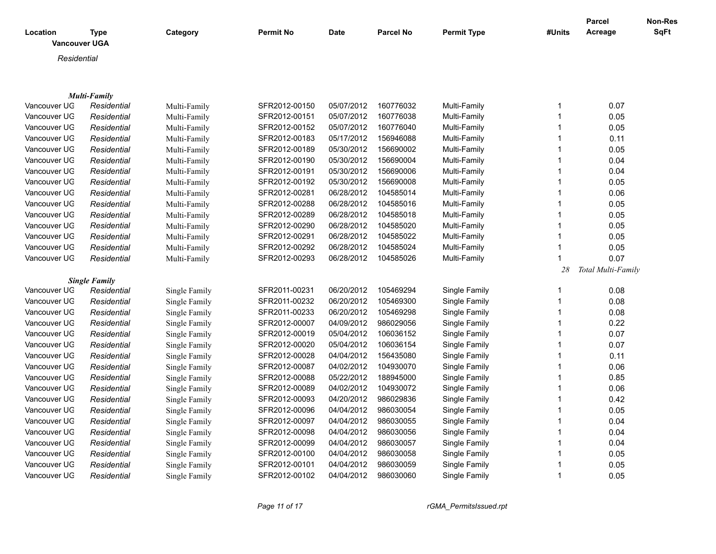| Location<br><b>Vancouver UGA</b> | <b>Type</b>          | Category      | <b>Permit No</b> | <b>Date</b> | <b>Parcel No</b> | <b>Permit Type</b> | #Units                  | <b>Parcel</b><br>Acreage | Non-Res<br>SqFt |
|----------------------------------|----------------------|---------------|------------------|-------------|------------------|--------------------|-------------------------|--------------------------|-----------------|
| Residential                      |                      |               |                  |             |                  |                    |                         |                          |                 |
|                                  |                      |               |                  |             |                  |                    |                         |                          |                 |
|                                  |                      |               |                  |             |                  |                    |                         |                          |                 |
|                                  | <b>Multi-Family</b>  |               |                  |             |                  |                    |                         |                          |                 |
| Vancouver UG                     | Residential          | Multi-Family  | SFR2012-00150    | 05/07/2012  | 160776032        | Multi-Family       | -1                      | 0.07                     |                 |
| Vancouver UG                     | Residential          | Multi-Family  | SFR2012-00151    | 05/07/2012  | 160776038        | Multi-Family       | $\overline{1}$          | 0.05                     |                 |
| Vancouver UG                     | Residential          | Multi-Family  | SFR2012-00152    | 05/07/2012  | 160776040        | Multi-Family       |                         | 0.05                     |                 |
| Vancouver UG                     | Residential          | Multi-Family  | SFR2012-00183    | 05/17/2012  | 156946088        | Multi-Family       | -1                      | 0.11                     |                 |
| Vancouver UG                     | Residential          | Multi-Family  | SFR2012-00189    | 05/30/2012  | 156690002        | Multi-Family       | $\mathbf 1$             | 0.05                     |                 |
| Vancouver UG                     | Residential          | Multi-Family  | SFR2012-00190    | 05/30/2012  | 156690004        | Multi-Family       | -1                      | 0.04                     |                 |
| Vancouver UG                     | Residential          | Multi-Family  | SFR2012-00191    | 05/30/2012  | 156690006        | Multi-Family       |                         | 0.04                     |                 |
| Vancouver UG                     | Residential          | Multi-Family  | SFR2012-00192    | 05/30/2012  | 156690008        | Multi-Family       | $\mathbf 1$             | 0.05                     |                 |
| Vancouver UG                     | Residential          | Multi-Family  | SFR2012-00281    | 06/28/2012  | 104585014        | Multi-Family       | $\mathbf 1$             | 0.06                     |                 |
| Vancouver UG                     | Residential          | Multi-Family  | SFR2012-00288    | 06/28/2012  | 104585016        | Multi-Family       | $\mathbf 1$             | 0.05                     |                 |
| Vancouver UG                     | Residential          | Multi-Family  | SFR2012-00289    | 06/28/2012  | 104585018        | Multi-Family       | $\mathbf 1$             | 0.05                     |                 |
| Vancouver UG                     | Residential          | Multi-Family  | SFR2012-00290    | 06/28/2012  | 104585020        | Multi-Family       | -1                      | 0.05                     |                 |
| Vancouver UG                     | Residential          | Multi-Family  | SFR2012-00291    | 06/28/2012  | 104585022        | Multi-Family       | $\mathbf 1$             | 0.05                     |                 |
| Vancouver UG                     | Residential          | Multi-Family  | SFR2012-00292    | 06/28/2012  | 104585024        | Multi-Family       | $\mathbf 1$             | 0.05                     |                 |
| Vancouver UG                     | Residential          | Multi-Family  | SFR2012-00293    | 06/28/2012  | 104585026        | Multi-Family       | $\overline{\mathbf{1}}$ | 0.07                     |                 |
|                                  |                      |               |                  |             |                  |                    | 28                      | Total Multi-Family       |                 |
|                                  | <b>Single Family</b> |               |                  |             |                  |                    |                         |                          |                 |
| Vancouver UG                     | Residential          | Single Family | SFR2011-00231    | 06/20/2012  | 105469294        | Single Family      | -1                      | 0.08                     |                 |
| Vancouver UG                     | Residential          | Single Family | SFR2011-00232    | 06/20/2012  | 105469300        | Single Family      | -1                      | 0.08                     |                 |
| Vancouver UG                     | Residential          | Single Family | SFR2011-00233    | 06/20/2012  | 105469298        | Single Family      | $\mathbf 1$             | 0.08                     |                 |
| Vancouver UG                     | Residential          | Single Family | SFR2012-00007    | 04/09/2012  | 986029056        | Single Family      | 1                       | 0.22                     |                 |
| Vancouver UG                     | Residential          | Single Family | SFR2012-00019    | 05/04/2012  | 106036152        | Single Family      | $\mathbf 1$             | 0.07                     |                 |
| Vancouver UG                     | Residential          | Single Family | SFR2012-00020    | 05/04/2012  | 106036154        | Single Family      | $\mathbf 1$             | 0.07                     |                 |
| Vancouver UG                     | Residential          | Single Family | SFR2012-00028    | 04/04/2012  | 156435080        | Single Family      | $\mathbf 1$             | 0.11                     |                 |
| Vancouver UG                     | Residential          | Single Family | SFR2012-00087    | 04/02/2012  | 104930070        | Single Family      | $\mathbf 1$             | 0.06                     |                 |
| Vancouver UG                     | Residential          | Single Family | SFR2012-00088    | 05/22/2012  | 188945000        | Single Family      | $\mathbf 1$             | 0.85                     |                 |
| Vancouver UG                     | Residential          | Single Family | SFR2012-00089    | 04/02/2012  | 104930072        | Single Family      |                         | 0.06                     |                 |
| Vancouver UG                     | Residential          | Single Family | SFR2012-00093    | 04/20/2012  | 986029836        | Single Family      |                         | 0.42                     |                 |
| Vancouver UG                     | Residential          | Single Family | SFR2012-00096    | 04/04/2012  | 986030054        | Single Family      |                         | 0.05                     |                 |
| Vancouver UG                     | Residential          | Single Family | SFR2012-00097    | 04/04/2012  | 986030055        | Single Family      | -1                      | 0.04                     |                 |
| Vancouver UG                     | Residential          | Single Family | SFR2012-00098    | 04/04/2012  | 986030056        | Single Family      |                         | 0.04                     |                 |
| Vancouver UG                     | Residential          | Single Family | SFR2012-00099    | 04/04/2012  | 986030057        | Single Family      | $\mathbf 1$             | 0.04                     |                 |
| Vancouver UG                     | Residential          | Single Family | SFR2012-00100    | 04/04/2012  | 986030058        | Single Family      |                         | 0.05                     |                 |
| Vancouver UG                     | Residential          | Single Family | SFR2012-00101    | 04/04/2012  | 986030059        | Single Family      | -1                      | 0.05                     |                 |
| Vancouver UG                     | Residential          | Single Family | SFR2012-00102    | 04/04/2012  | 986030060        | Single Family      | $\mathbf 1$             | 0.05                     |                 |
|                                  |                      |               |                  |             |                  |                    |                         |                          |                 |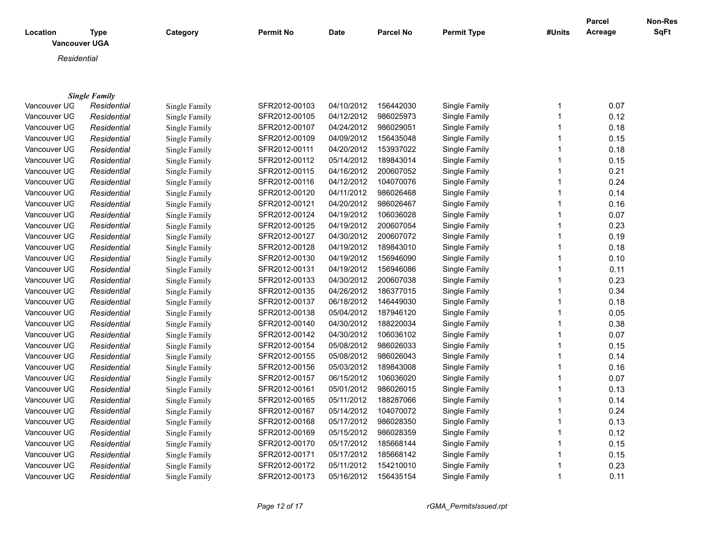| Location<br><b>Vancouver UGA</b> | <b>Type</b>          | Category      | <b>Permit No</b> | <b>Date</b> | <b>Parcel No</b> | <b>Permit Type</b> | #Units       | Parcel<br>Acreage | Non-Res<br>SqFt |
|----------------------------------|----------------------|---------------|------------------|-------------|------------------|--------------------|--------------|-------------------|-----------------|
| Residential                      |                      |               |                  |             |                  |                    |              |                   |                 |
|                                  |                      |               |                  |             |                  |                    |              |                   |                 |
|                                  |                      |               |                  |             |                  |                    |              |                   |                 |
|                                  | <b>Single Family</b> |               |                  |             |                  |                    |              |                   |                 |
| Vancouver UG                     | Residential          | Single Family | SFR2012-00103    | 04/10/2012  | 156442030        | Single Family      | 1            | 0.07              |                 |
| Vancouver UG                     | Residential          | Single Family | SFR2012-00105    | 04/12/2012  | 986025973        | Single Family      | $\mathbf 1$  | 0.12              |                 |
| Vancouver UG                     | Residential          | Single Family | SFR2012-00107    | 04/24/2012  | 986029051        | Single Family      | 1            | 0.18              |                 |
| Vancouver UG                     | Residential          | Single Family | SFR2012-00109    | 04/09/2012  | 156435048        | Single Family      |              | 0.15              |                 |
| Vancouver UG                     | Residential          | Single Family | SFR2012-00111    | 04/20/2012  | 153937022        | Single Family      | 1            | 0.18              |                 |
| Vancouver UG                     | Residential          | Single Family | SFR2012-00112    | 05/14/2012  | 189843014        | Single Family      | 1            | 0.15              |                 |
| Vancouver UG                     | Residential          | Single Family | SFR2012-00115    | 04/16/2012  | 200607052        | Single Family      | 1            | 0.21              |                 |
| Vancouver UG                     | Residential          | Single Family | SFR2012-00116    | 04/12/2012  | 104070076        | Single Family      | 1            | 0.24              |                 |
| Vancouver UG                     | Residential          | Single Family | SFR2012-00120    | 04/11/2012  | 986026468        | Single Family      | 1            | 0.14              |                 |
| Vancouver UG                     | Residential          | Single Family | SFR2012-00121    | 04/20/2012  | 986026467        | Single Family      | 1            | 0.16              |                 |
| Vancouver UG                     | Residential          | Single Family | SFR2012-00124    | 04/19/2012  | 106036028        | Single Family      | 1            | 0.07              |                 |
| Vancouver UG                     | Residential          | Single Family | SFR2012-00125    | 04/19/2012  | 200607054        | Single Family      |              | 0.23              |                 |
| Vancouver UG                     | Residential          | Single Family | SFR2012-00127    | 04/30/2012  | 200607072        | Single Family      | 1            | 0.19              |                 |
| Vancouver UG                     | Residential          | Single Family | SFR2012-00128    | 04/19/2012  | 189843010        | Single Family      | $\mathbf{1}$ | 0.18              |                 |
| Vancouver UG                     | Residential          | Single Family | SFR2012-00130    | 04/19/2012  | 156946090        | Single Family      | 1            | 0.10              |                 |
| Vancouver UG                     | Residential          | Single Family | SFR2012-00131    | 04/19/2012  | 156946086        | Single Family      |              | 0.11              |                 |
| Vancouver UG                     | Residential          | Single Family | SFR2012-00133    | 04/30/2012  | 200607038        | Single Family      |              | 0.23              |                 |
| Vancouver UG                     | Residential          | Single Family | SFR2012-00135    | 04/26/2012  | 186377015        | Single Family      | $\mathbf 1$  | 0.34              |                 |
| Vancouver UG                     | Residential          | Single Family | SFR2012-00137    | 06/18/2012  | 146449030        | Single Family      |              | 0.18              |                 |
| Vancouver UG                     | Residential          | Single Family | SFR2012-00138    | 05/04/2012  | 187946120        | Single Family      |              | 0.05              |                 |
| Vancouver UG                     | Residential          | Single Family | SFR2012-00140    | 04/30/2012  | 188220034        | Single Family      | 1            | 0.38              |                 |
| Vancouver UG                     | Residential          | Single Family | SFR2012-00142    | 04/30/2012  | 106036102        | Single Family      | 1            | 0.07              |                 |
| Vancouver UG                     | Residential          | Single Family | SFR2012-00154    | 05/08/2012  | 986026033        | Single Family      | $\mathbf{1}$ | 0.15              |                 |
| Vancouver UG                     | Residential          | Single Family | SFR2012-00155    | 05/08/2012  | 986026043        | Single Family      |              | 0.14              |                 |
| Vancouver UG                     | Residential          | Single Family | SFR2012-00156    | 05/03/2012  | 189843008        | Single Family      | 1            | 0.16              |                 |
| Vancouver UG                     | Residential          | Single Family | SFR2012-00157    | 06/15/2012  | 106036020        | Single Family      | 1            | 0.07              |                 |
| Vancouver UG                     | Residential          | Single Family | SFR2012-00161    | 05/01/2012  | 986026015        | Single Family      | 1            | 0.13              |                 |
| Vancouver UG                     | Residential          | Single Family | SFR2012-00165    | 05/11/2012  | 188287066        | Single Family      | 1            | 0.14              |                 |
| Vancouver UG                     | Residential          | Single Family | SFR2012-00167    | 05/14/2012  | 104070072        | Single Family      |              | 0.24              |                 |
| Vancouver UG                     | Residential          | Single Family | SFR2012-00168    | 05/17/2012  | 986028350        | Single Family      | 1            | 0.13              |                 |
| Vancouver UG                     | Residential          | Single Family | SFR2012-00169    | 05/15/2012  | 986028359        | Single Family      |              | 0.12              |                 |
| Vancouver UG                     | Residential          | Single Family | SFR2012-00170    | 05/17/2012  | 185668144        | Single Family      | 1            | 0.15              |                 |

Vancouver UG *Residential* Single Family SFR2012-00171 05/17/2012 185668142 Single Family 1 0.15 Vancouver UGA *Residential* Single Family SFR2012-00172 05/11/2012 154210010 Single Family 1 0.23 Vancouver UG *Residential* Single Family SFR2012-00173 05/16/2012 156435154 Single Family 1 0.11

*Page 12 of 17 rGMA\_PermitsIssued.rpt*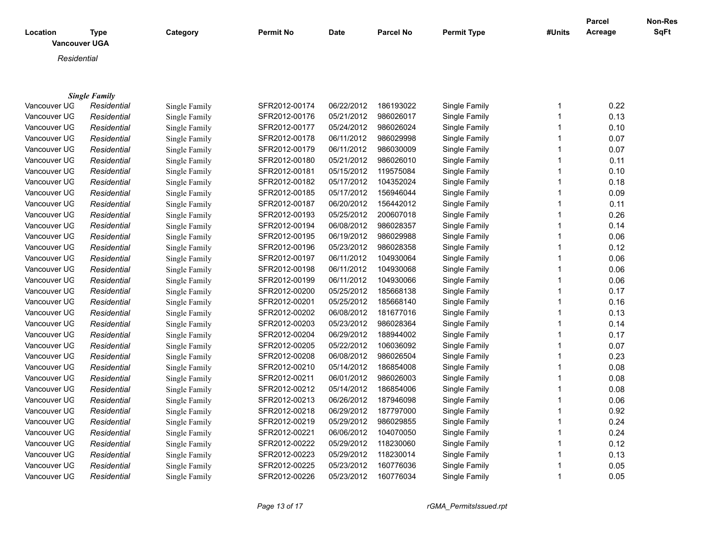| Location     | <b>Type</b><br><b>Vancouver UGA</b> | Category      | <b>Permit No</b> | <b>Date</b> | <b>Parcel No</b> | <b>Permit Type</b> | #Units       | <b>Parcel</b><br>Acreage | Non-Res<br><b>SqFt</b> |
|--------------|-------------------------------------|---------------|------------------|-------------|------------------|--------------------|--------------|--------------------------|------------------------|
| Residential  |                                     |               |                  |             |                  |                    |              |                          |                        |
|              |                                     |               |                  |             |                  |                    |              |                          |                        |
|              |                                     |               |                  |             |                  |                    |              |                          |                        |
|              | <b>Single Family</b>                |               |                  |             |                  |                    |              |                          |                        |
| Vancouver UG | Residential                         | Single Family | SFR2012-00174    | 06/22/2012  | 186193022        | Single Family      | 1            | 0.22                     |                        |
| Vancouver UG | Residential                         | Single Family | SFR2012-00176    | 05/21/2012  | 986026017        | Single Family      | 1            | 0.13                     |                        |
| Vancouver UG | Residential                         | Single Family | SFR2012-00177    | 05/24/2012  | 986026024        | Single Family      | 1            | 0.10                     |                        |
| Vancouver UG | Residential                         | Single Family | SFR2012-00178    | 06/11/2012  | 986029998        | Single Family      | 1            | 0.07                     |                        |
| Vancouver UG | Residential                         | Single Family | SFR2012-00179    | 06/11/2012  | 986030009        | Single Family      | 1            | 0.07                     |                        |
| Vancouver UG | Residential                         | Single Family | SFR2012-00180    | 05/21/2012  | 986026010        | Single Family      | 1            | 0.11                     |                        |
| Vancouver UG | Residential                         | Single Family | SFR2012-00181    | 05/15/2012  | 119575084        | Single Family      | 1            | 0.10                     |                        |
| Vancouver UG | Residential                         | Single Family | SFR2012-00182    | 05/17/2012  | 104352024        | Single Family      | 1            | 0.18                     |                        |
| Vancouver UG | Residential                         | Single Family | SFR2012-00185    | 05/17/2012  | 156946044        | Single Family      | 1            | 0.09                     |                        |
| Vancouver UG | Residential                         | Single Family | SFR2012-00187    | 06/20/2012  | 156442012        | Single Family      | 1            | 0.11                     |                        |
| Vancouver UG | Residential                         | Single Family | SFR2012-00193    | 05/25/2012  | 200607018        | Single Family      | 1            | 0.26                     |                        |
| Vancouver UG | Residential                         | Single Family | SFR2012-00194    | 06/08/2012  | 986028357        | Single Family      | 1            | 0.14                     |                        |
| Vancouver UG | Residential                         | Single Family | SFR2012-00195    | 06/19/2012  | 986029988        | Single Family      | 1            | 0.06                     |                        |
| Vancouver UG | Residential                         | Single Family | SFR2012-00196    | 05/23/2012  | 986028358        | Single Family      | 1            | 0.12                     |                        |
| Vancouver UG | Residential                         | Single Family | SFR2012-00197    | 06/11/2012  | 104930064        | Single Family      | 1            | 0.06                     |                        |
| Vancouver UG | Residential                         | Single Family | SFR2012-00198    | 06/11/2012  | 104930068        | Single Family      | 1            | 0.06                     |                        |
| Vancouver UG | Residential                         | Single Family | SFR2012-00199    | 06/11/2012  | 104930066        | Single Family      | 1            | 0.06                     |                        |
| Vancouver UG | Residential                         | Single Family | SFR2012-00200    | 05/25/2012  | 185668138        | Single Family      | 1            | 0.17                     |                        |
| Vancouver UG | Residential                         | Single Family | SFR2012-00201    | 05/25/2012  | 185668140        | Single Family      | 1            | 0.16                     |                        |
| Vancouver UG | Residential                         | Single Family | SFR2012-00202    | 06/08/2012  | 181677016        | Single Family      | 1            | 0.13                     |                        |
| Vancouver UG | Residential                         | Single Family | SFR2012-00203    | 05/23/2012  | 986028364        | Single Family      | 1            | 0.14                     |                        |
| Vancouver UG | Residential                         | Single Family | SFR2012-00204    | 06/29/2012  | 188944002        | Single Family      | 1            | 0.17                     |                        |
| Vancouver UG | Residential                         | Single Family | SFR2012-00205    | 05/22/2012  | 106036092        | Single Family      | 1            | 0.07                     |                        |
| Vancouver UG | Residential                         | Single Family | SFR2012-00208    | 06/08/2012  | 986026504        | Single Family      | 1            | 0.23                     |                        |
| Vancouver UG | Residential                         | Single Family | SFR2012-00210    | 05/14/2012  | 186854008        | Single Family      | 1            | 0.08                     |                        |
| Vancouver UG | Residential                         | Single Family | SFR2012-00211    | 06/01/2012  | 986026003        | Single Family      | 1            | 0.08                     |                        |
| Vancouver UG | Residential                         | Single Family | SFR2012-00212    | 05/14/2012  | 186854006        | Single Family      | 1            | 0.08                     |                        |
| Vancouver UG | Residential                         | Single Family | SFR2012-00213    | 06/26/2012  | 187946098        | Single Family      | 1            | 0.06                     |                        |
| Vancouver UG | Residential                         | Single Family | SFR2012-00218    | 06/29/2012  | 187797000        | Single Family      | 1            | 0.92                     |                        |
| Vancouver UG | Residential                         | Single Family | SFR2012-00219    | 05/29/2012  | 986029855        | Single Family      | 1            | 0.24                     |                        |
| Vancouver UG | Residential                         | Single Family | SFR2012-00221    | 06/06/2012  | 104070050        | Single Family      | 1            | 0.24                     |                        |
| Vancouver UG | Residential                         | Single Family | SFR2012-00222    | 05/29/2012  | 118230060        | Single Family      | 1            | 0.12                     |                        |
| Vancouver UG | Residential                         | Single Family | SFR2012-00223    | 05/29/2012  | 118230014        | Single Family      | 1            | 0.13                     |                        |
| Vancouver UG | Residential                         | Single Family | SFR2012-00225    | 05/23/2012  | 160776036        | Single Family      | 1            | 0.05                     |                        |
| Vancouver UG | Residential                         | Single Family | SFR2012-00226    | 05/23/2012  | 160776034        | Single Family      | $\mathbf{1}$ | 0.05                     |                        |

*Page 13 of 17 rGMA\_PermitsIssued.rpt*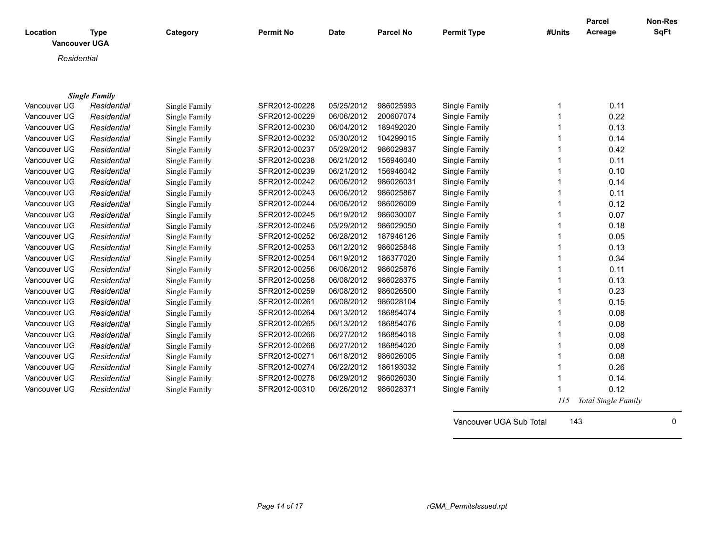| Location     | Type<br><b>Vancouver UGA</b> | Category      | <b>Permit No</b> | <b>Date</b> | <b>Parcel No</b> | <b>Permit Type</b> | #Units | Parcel<br>Acreage | Non-Res<br>SqFt |
|--------------|------------------------------|---------------|------------------|-------------|------------------|--------------------|--------|-------------------|-----------------|
| Residential  |                              |               |                  |             |                  |                    |        |                   |                 |
|              |                              |               |                  |             |                  |                    |        |                   |                 |
|              | <b>Single Family</b>         |               |                  |             |                  |                    |        |                   |                 |
| Vancouver UG | Residential                  | Single Family | SFR2012-00228    | 05/25/2012  | 986025993        | Single Family      |        | 0.11              |                 |
| Vancouver UG | Residential                  | Single Family | SFR2012-00229    | 06/06/2012  | 200607074        | Single Family      |        | 0.22              |                 |
| Vancouver UG | Residential                  | Single Family | SFR2012-00230    | 06/04/2012  | 189492020        | Single Family      |        | 0.13              |                 |
| Vancouver UG | Residential                  | Single Family | SFR2012-00232    | 05/30/2012  | 104299015        | Single Family      |        | 0.14              |                 |
| Vancouver UG | Residential                  | Single Family | SFR2012-00237    | 05/29/2012  | 986029837        | Single Family      |        | 0.42              |                 |
| Vancouver UG | Residential                  | Single Family | SFR2012-00238    | 06/21/2012  | 156946040        | Single Family      |        | 0.11              |                 |
| Vancouver UG | Residential                  | Single Family | SFR2012-00239    | 06/21/2012  | 156946042        | Single Family      |        | 0.10              |                 |
| Vancouver UG | Residential                  | Single Family | SFR2012-00242    | 06/06/2012  | 986026031        | Single Family      |        | 0.14              |                 |
| Vancouver UG | Residential                  | Single Family | SFR2012-00243    | 06/06/2012  | 986025867        | Single Family      |        | 0.11              |                 |
| Vancouver UG | Residential                  | Single Family | SFR2012-00244    | 06/06/2012  | 986026009        | Single Family      |        | 0.12              |                 |
| Vancouver UG | Residential                  | Single Family | SFR2012-00245    | 06/19/2012  | 986030007        | Single Family      |        | 0.07              |                 |
| Vancouver UG | Residential                  | Single Family | SFR2012-00246    | 05/29/2012  | 986029050        | Single Family      |        | 0.18              |                 |
| Vancouver UG | Residential                  | Single Family | SFR2012-00252    | 06/28/2012  | 187946126        | Single Family      |        | 0.05              |                 |
| Vancouver UG | Residential                  | Single Family | SFR2012-00253    | 06/12/2012  | 986025848        | Single Family      |        | 0.13              |                 |
| Vancouver UG | Residential                  | Single Family | SFR2012-00254    | 06/19/2012  | 186377020        | Single Family      |        | 0.34              |                 |
| Vancouver UG | Residential                  | Single Family | SFR2012-00256    | 06/06/2012  | 986025876        | Single Family      |        | 0.11              |                 |
|              |                              |               |                  |             |                  |                    |        |                   |                 |

| Vancouver UG | Residential | Single Family | SFR2012-00253 | 06/12/2012 | 986025848 | Single Family |     | 0.13                |
|--------------|-------------|---------------|---------------|------------|-----------|---------------|-----|---------------------|
| Vancouver UG | Residential | Single Family | SFR2012-00254 | 06/19/2012 | 186377020 | Single Family |     | 0.34                |
| Vancouver UG | Residential | Single Family | SFR2012-00256 | 06/06/2012 | 986025876 | Single Family |     | 0.11                |
| Vancouver UG | Residential | Single Family | SFR2012-00258 | 06/08/2012 | 986028375 | Single Family |     | 0.13                |
| Vancouver UG | Residential | Single Family | SFR2012-00259 | 06/08/2012 | 986026500 | Single Family |     | 0.23                |
| Vancouver UG | Residential | Single Family | SFR2012-00261 | 06/08/2012 | 986028104 | Single Family |     | 0.15                |
| Vancouver UG | Residential | Single Family | SFR2012-00264 | 06/13/2012 | 186854074 | Single Family |     | 0.08                |
| Vancouver UG | Residential | Single Family | SFR2012-00265 | 06/13/2012 | 186854076 | Single Family |     | 0.08                |
| Vancouver UG | Residential | Single Family | SFR2012-00266 | 06/27/2012 | 186854018 | Single Family |     | 0.08                |
| Vancouver UG | Residential | Single Family | SFR2012-00268 | 06/27/2012 | 186854020 | Single Family |     | 0.08                |
| Vancouver UG | Residential | Single Family | SFR2012-00271 | 06/18/2012 | 986026005 | Single Family |     | 0.08                |
| Vancouver UG | Residential | Single Family | SFR2012-00274 | 06/22/2012 | 186193032 | Single Family |     | 0.26                |
| Vancouver UG | Residential | Single Family | SFR2012-00278 | 06/29/2012 | 986026030 | Single Family |     | 0.14                |
| Vancouver UG | Residential | Single Family | SFR2012-00310 | 06/26/2012 | 986028371 | Single Family |     | 0.12                |
|              |             |               |               |            |           |               | 115 | Total Single Family |
|              |             |               |               |            |           |               |     |                     |

Vancouver UGA Sub Total 143 0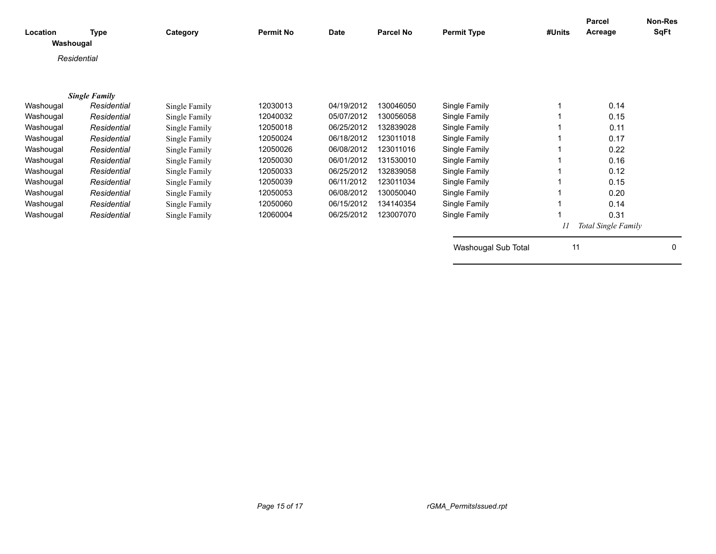| Location<br>Washougal | Type                 | Category      | <b>Permit No</b> | <b>Date</b> | <b>Parcel No</b> | <b>Permit Type</b>  | #Units | Parcel<br>Acreage   | Non-Res<br>SqFt |
|-----------------------|----------------------|---------------|------------------|-------------|------------------|---------------------|--------|---------------------|-----------------|
| Residential           |                      |               |                  |             |                  |                     |        |                     |                 |
|                       |                      |               |                  |             |                  |                     |        |                     |                 |
|                       | <b>Single Family</b> |               |                  |             |                  |                     |        |                     |                 |
| Washougal             | Residential          | Single Family | 12030013         | 04/19/2012  | 130046050        | Single Family       |        | 0.14                |                 |
| Washougal             | Residential          | Single Family | 12040032         | 05/07/2012  | 130056058        | Single Family       |        | 0.15                |                 |
| Washougal             | Residential          | Single Family | 12050018         | 06/25/2012  | 132839028        | Single Family       |        | 0.11                |                 |
| Washougal             | Residential          | Single Family | 12050024         | 06/18/2012  | 123011018        | Single Family       |        | 0.17                |                 |
| Washougal             | Residential          | Single Family | 12050026         | 06/08/2012  | 123011016        | Single Family       |        | 0.22                |                 |
| Washougal             | Residential          | Single Family | 12050030         | 06/01/2012  | 131530010        | Single Family       |        | 0.16                |                 |
| Washougal             | Residential          | Single Family | 12050033         | 06/25/2012  | 132839058        | Single Family       |        | 0.12                |                 |
| Washougal             | Residential          | Single Family | 12050039         | 06/11/2012  | 123011034        | Single Family       |        | 0.15                |                 |
| Washougal             | Residential          | Single Family | 12050053         | 06/08/2012  | 130050040        | Single Family       |        | 0.20                |                 |
| Washougal             | Residential          | Single Family | 12050060         | 06/15/2012  | 134140354        | Single Family       |        | 0.14                |                 |
| Washougal             | Residential          | Single Family | 12060004         | 06/25/2012  | 123007070        | Single Family       |        | 0.31                |                 |
|                       |                      |               |                  |             |                  |                     | 11     | Total Single Family |                 |
|                       |                      |               |                  |             |                  | Washougal Sub Total | 11     |                     | $\Omega$        |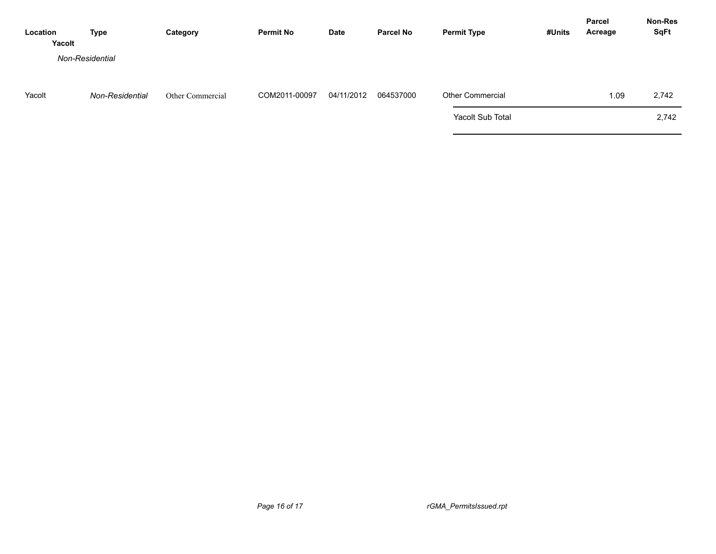| Location<br>Yacolt | Type            | Category         | <b>Permit No</b> | <b>Date</b> | <b>Parcel No</b> | <b>Permit Type</b>      | #Units | <b>Parcel</b><br>Acreage | Non-Res<br><b>SqFt</b> |
|--------------------|-----------------|------------------|------------------|-------------|------------------|-------------------------|--------|--------------------------|------------------------|
|                    | Non-Residential |                  |                  |             |                  |                         |        |                          |                        |
| Yacolt             | Non-Residential | Other Commercial | COM2011-00097    | 04/11/2012  | 064537000        | <b>Other Commercial</b> |        | 1.09                     | 2,742                  |
|                    |                 |                  |                  |             |                  | Yacolt Sub Total        |        |                          | 2,742                  |